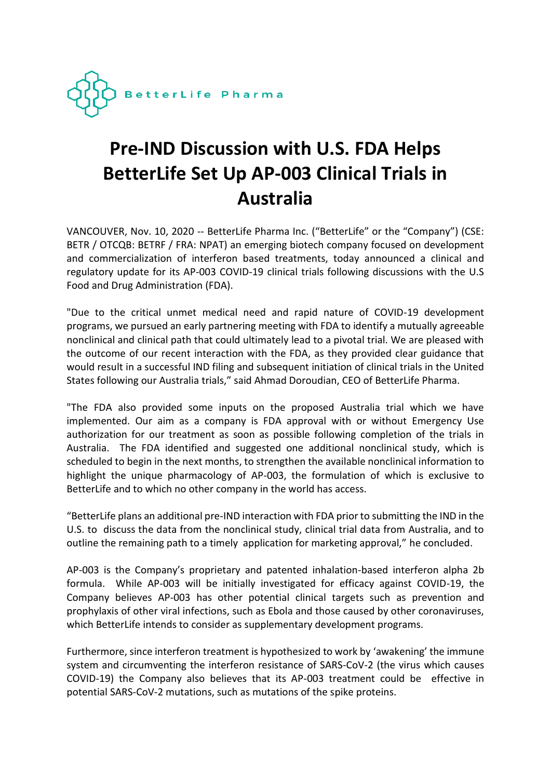

# **Pre-IND Discussion with U.S. FDA Helps BetterLife Set Up AP-003 Clinical Trials in Australia**

VANCOUVER, Nov. 10, 2020 -- BetterLife Pharma Inc. ("BetterLife" or the "Company") (CSE: BETR / OTCQB: BETRF / FRA: NPAT) an emerging biotech company focused on development and commercialization of interferon based treatments, today announced a clinical and regulatory update for its AP-003 COVID-19 clinical trials following discussions with the U.S Food and Drug Administration (FDA).

"Due to the critical unmet medical need and rapid nature of COVID-19 development programs, we pursued an early partnering meeting with FDA to identify a mutually agreeable nonclinical and clinical path that could ultimately lead to a pivotal trial. We are pleased with the outcome of our recent interaction with the FDA, as they provided clear guidance that would result in a successful IND filing and subsequent initiation of clinical trials in the United States following our Australia trials," said Ahmad Doroudian, CEO of BetterLife Pharma.

"The FDA also provided some inputs on the proposed Australia trial which we have implemented. Our aim as a company is FDA approval with or without Emergency Use authorization for our treatment as soon as possible following completion of the trials in Australia. The FDA identified and suggested one additional nonclinical study, which is scheduled to begin in the next months, to strengthen the available nonclinical information to highlight the unique pharmacology of AP-003, the formulation of which is exclusive to BetterLife and to which no other company in the world has access.

"BetterLife plans an additional pre-IND interaction with FDA prior to submitting the IND in the U.S. to discuss the data from the nonclinical study, clinical trial data from Australia, and to outline the remaining path to a timely application for marketing approval," he concluded.

AP-003 is the Company's proprietary and patented inhalation-based interferon alpha 2b formula. While AP-003 will be initially investigated for efficacy against COVID-19, the Company believes AP-003 has other potential clinical targets such as prevention and prophylaxis of other viral infections, such as Ebola and those caused by other coronaviruses, which BetterLife intends to consider as supplementary development programs.

Furthermore, since interferon treatment is hypothesized to work by 'awakening' the immune system and circumventing the interferon resistance of SARS-CoV-2 (the virus which causes COVID-19) the Company also believes that its AP-003 treatment could be effective in potential SARS-CoV-2 mutations, such as mutations of the spike proteins.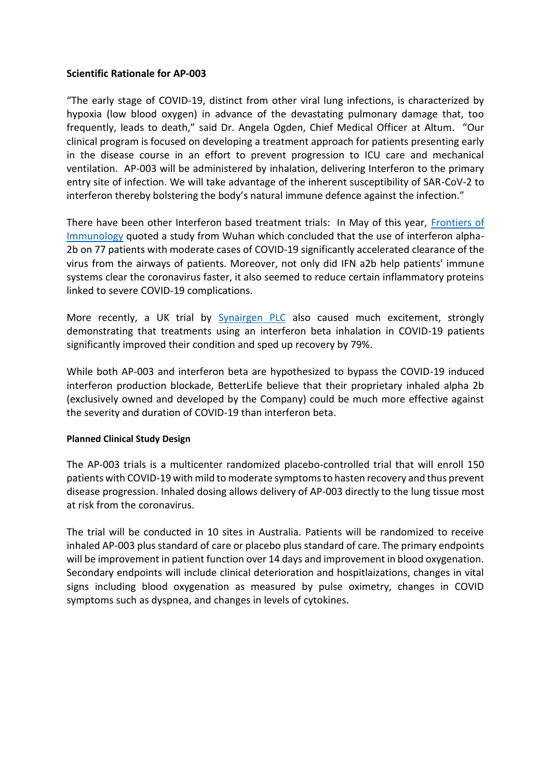## **Scientific Rationale for AP-003**

"The early stage of COVID-19, distinct from other viral lung infections, is characterized by hypoxia (low blood oxygen) in advance of the devastating pulmonary damage that, too frequently, leads to death," said Dr. Angela Ogden, Chief Medical Officer at Altum. "Our clinical program is focused on developing a treatment approach for patients presenting early in the disease course in an effort to prevent progression to ICU care and mechanical ventilation. AP-003 will be administered by inhalation, delivering Interferon to the primary entry site of infection. We will take advantage of the inherent susceptibility of SAR-CoV-2 to interferon thereby bolstering the body's natural immune defence against the infection."

There have been other Interferon based treatment trials: In May of this year, [Frontiers of](https://www.frontiersin.org/articles/10.3389/fimmu.2020.01061/full)  [Immunology](https://www.frontiersin.org/articles/10.3389/fimmu.2020.01061/full) quoted a study from Wuhan which concluded that the use of interferon alpha-2b on 77 patients with moderate cases of COVID-19 significantly accelerated clearance of the virus from the airways of patients. Moreover, not only did IFN a2b help patients' immune systems clear the coronavirus faster, it also seemed to reduce certain inflammatory proteins linked to severe COVID-19 complications.

More recently, a UK trial by **[Synairgen PLC](https://www.globenewswire.com/news-release/2020/07/20/2064154/0/en/Synairgen-announces-positive-results-from-trial-of-SNG001-in-hospitalised-COVID-19-patients.html)** also caused much excitement, strongly demonstrating that treatments using an interferon beta inhalation in COVID-19 patients significantly improved their condition and sped up recovery by 79%.

While both AP-003 and interferon beta are hypothesized to bypass the COVID-19 induced interferon production blockade, BetterLife believe that their proprietary inhaled alpha 2b (exclusively owned and developed by the Company) could be much more effective against the severity and duration of COVID-19 than interferon beta.

#### **Planned Clinical Study Design**

The AP-003 trials is a multicenter randomized placebo-controlled trial that will enroll 150 patients with COVID-19 with mild to moderate symptoms to hasten recovery and thus prevent disease progression. Inhaled dosing allows delivery of AP-003 directly to the lung tissue most at risk from the coronavirus.

The trial will be conducted in 10 sites in Australia. Patients will be randomized to receive inhaled AP-003 plus standard of care or placebo plus standard of care. The primary endpoints will be improvement in patient function over 14 days and improvement in blood oxygenation. Secondary endpoints will include clinical deterioration and hospitlaizations, changes in vital signs including blood oxygenation as measured by pulse oximetry, changes in COVID symptoms such as dyspnea, and changes in levels of cytokines.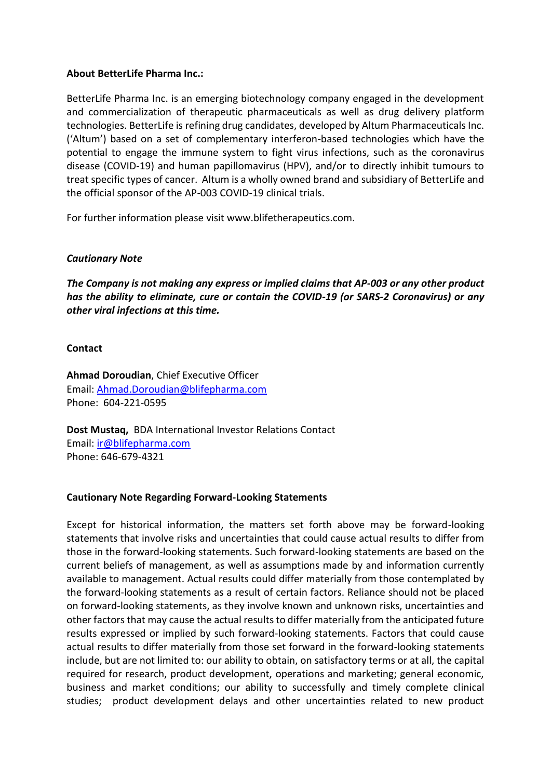# **About BetterLife Pharma Inc.:**

BetterLife Pharma Inc. is an emerging biotechnology company engaged in the development and commercialization of therapeutic pharmaceuticals as well as drug delivery platform technologies. BetterLife is refining drug candidates, developed by Altum Pharmaceuticals Inc. ('Altum') based on a set of complementary interferon-based technologies which have the potential to engage the immune system to fight virus infections, such as the coronavirus disease (COVID-19) and human papillomavirus (HPV), and/or to directly inhibit tumours to treat specific types of cancer. Altum is a wholly owned brand and subsidiary of BetterLife and the official sponsor of the AP-003 COVID-19 clinical trials.

For further information please visit www.blifetherapeutics.com.

# *Cautionary Note*

*The Company is not making any express or implied claims that AP-003 or any other product has the ability to eliminate, cure or contain the COVID-19 (or SARS-2 Coronavirus) or any other viral infections at this time.* 

## **Contact**

**Ahmad Doroudian**, Chief Executive Officer Email: [Ahmad.Doroudian@blifepharma.com](mailto:ahmad.doroudian@blifepharma.com) Phone: 604-221-0595

**Dost Mustaq,** BDA International Investor Relations Contact Email: [ir@blifepharma.com](mailto:ir@blifepharma.com) Phone: 646-679-4321

## **Cautionary Note Regarding Forward-Looking Statements**

Except for historical information, the matters set forth above may be forward-looking statements that involve risks and uncertainties that could cause actual results to differ from those in the forward-looking statements. Such forward-looking statements are based on the current beliefs of management, as well as assumptions made by and information currently available to management. Actual results could differ materially from those contemplated by the forward-looking statements as a result of certain factors. Reliance should not be placed on forward-looking statements, as they involve known and unknown risks, uncertainties and other factors that may cause the actual results to differ materially from the anticipated future results expressed or implied by such forward-looking statements. Factors that could cause actual results to differ materially from those set forward in the forward-looking statements include, but are not limited to: our ability to obtain, on satisfactory terms or at all, the capital required for research, product development, operations and marketing; general economic, business and market conditions; our ability to successfully and timely complete clinical studies; product development delays and other uncertainties related to new product